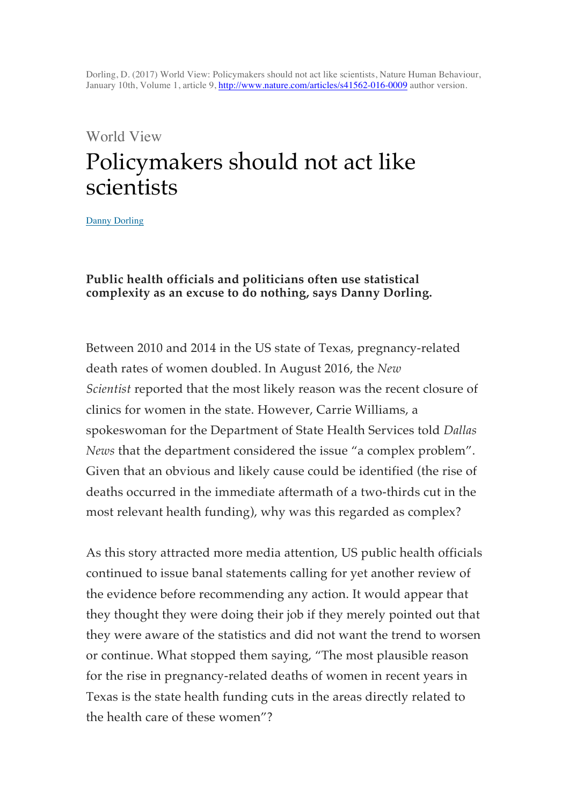Dorling, D. (2017) World View: Policymakers should not act like scientists, Nature Human Behaviour, January 10th, Volume 1, article 9, http://www.nature.com/articles/s41562-016-0009 author version.

#### World View

# Policymakers should not act like scientists

Danny Dorling

#### **Public health officials and politicians often use statistical complexity as an excuse to do nothing, says Danny Dorling.**

Between 2010 and 2014 in the US state of Texas, pregnancy-related death rates of women doubled. In August 2016, the *New Scientist* reported that the most likely reason was the recent closure of clinics for women in the state. However, Carrie Williams, a spokeswoman for the Department of State Health Services told *Dallas News* that the department considered the issue "a complex problem". Given that an obvious and likely cause could be identified (the rise of deaths occurred in the immediate aftermath of a two-thirds cut in the most relevant health funding), why was this regarded as complex?

As this story attracted more media attention, US public health officials continued to issue banal statements calling for yet another review of the evidence before recommending any action. It would appear that they thought they were doing their job if they merely pointed out that they were aware of the statistics and did not want the trend to worsen or continue. What stopped them saying, "The most plausible reason for the rise in pregnancy-related deaths of women in recent years in Texas is the state health funding cuts in the areas directly related to the health care of these women"?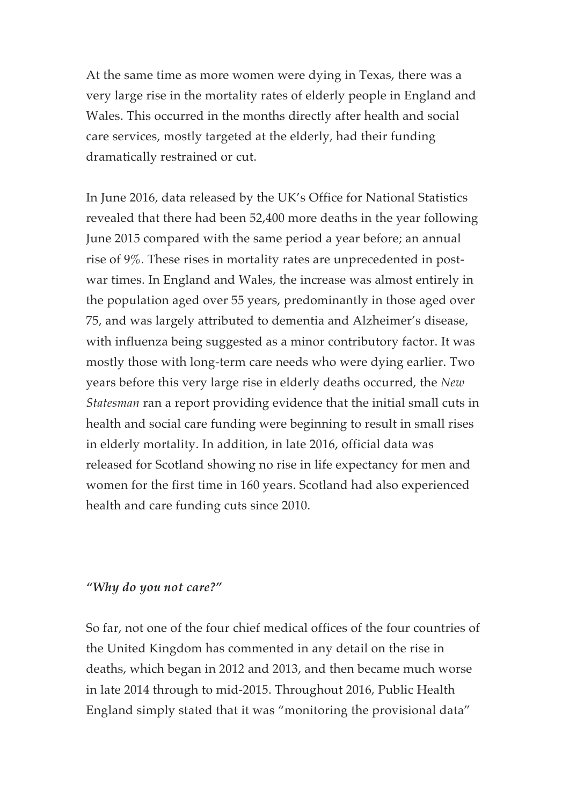At the same time as more women were dying in Texas, there was a very large rise in the mortality rates of elderly people in England and Wales. This occurred in the months directly after health and social care services, mostly targeted at the elderly, had their funding dramatically restrained or cut.

In June 2016, data released by the UK's Office for National Statistics revealed that there had been 52,400 more deaths in the year following June 2015 compared with the same period a year before; an annual rise of 9%. These rises in mortality rates are unprecedented in postwar times. In England and Wales, the increase was almost entirely in the population aged over 55 years, predominantly in those aged over 75, and was largely attributed to dementia and Alzheimer's disease, with influenza being suggested as a minor contributory factor. It was mostly those with long-term care needs who were dying earlier. Two years before this very large rise in elderly deaths occurred, the *New Statesman* ran a report providing evidence that the initial small cuts in health and social care funding were beginning to result in small rises in elderly mortality. In addition, in late 2016, official data was released for Scotland showing no rise in life expectancy for men and women for the first time in 160 years. Scotland had also experienced health and care funding cuts since 2010.

#### *"Why do you not care?"*

So far, not one of the four chief medical offices of the four countries of the United Kingdom has commented in any detail on the rise in deaths, which began in 2012 and 2013, and then became much worse in late 2014 through to mid-2015. Throughout 2016, Public Health England simply stated that it was "monitoring the provisional data"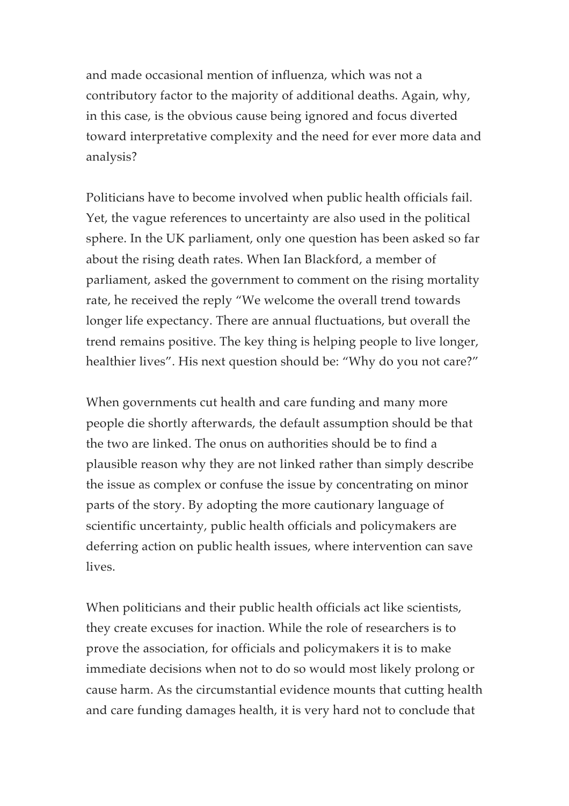and made occasional mention of influenza, which was not a contributory factor to the majority of additional deaths. Again, why, in this case, is the obvious cause being ignored and focus diverted toward interpretative complexity and the need for ever more data and analysis?

Politicians have to become involved when public health officials fail. Yet, the vague references to uncertainty are also used in the political sphere. In the UK parliament, only one question has been asked so far about the rising death rates. When Ian Blackford, a member of parliament, asked the government to comment on the rising mortality rate, he received the reply "We welcome the overall trend towards longer life expectancy. There are annual fluctuations, but overall the trend remains positive. The key thing is helping people to live longer, healthier lives". His next question should be: "Why do you not care?"

When governments cut health and care funding and many more people die shortly afterwards, the default assumption should be that the two are linked. The onus on authorities should be to find a plausible reason why they are not linked rather than simply describe the issue as complex or confuse the issue by concentrating on minor parts of the story. By adopting the more cautionary language of scientific uncertainty, public health officials and policymakers are deferring action on public health issues, where intervention can save lives.

When politicians and their public health officials act like scientists, they create excuses for inaction. While the role of researchers is to prove the association, for officials and policymakers it is to make immediate decisions when not to do so would most likely prolong or cause harm. As the circumstantial evidence mounts that cutting health and care funding damages health, it is very hard not to conclude that